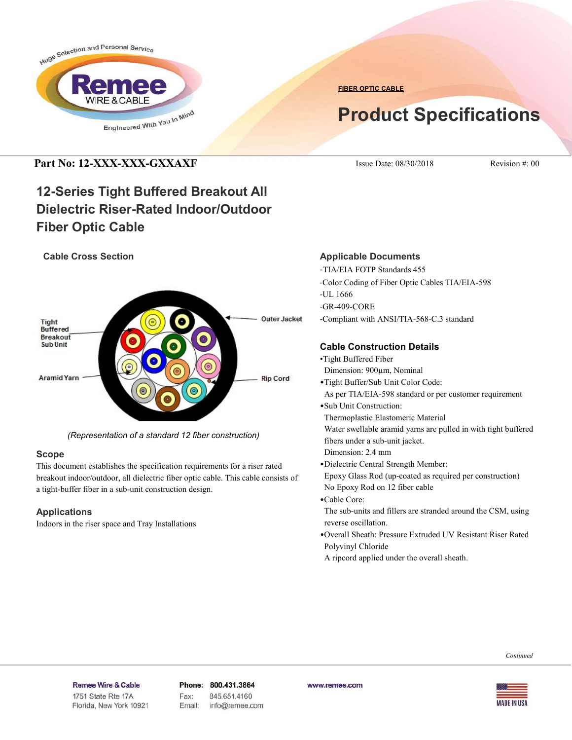

**FIBER OPTIC CABLE**

# **Product Specifications**

## **Part No: 12-XXX-XXX-GXXAXF** ISSUE Date: 08/30/2018 Revision #: 00

## **12-Series Tight Buffered Breakout All Dielectric Riser-Rated Indoor/Outdoor Fiber Optic Cable**

#### **Cable Cross Section**



*(Representation of a standard 12 fiber construction)*

#### **Scope**

This document establishes the specification requirements for a riser rated breakout indoor/outdoor, all dielectric fiber optic cable. This cable consists of a tight-buffer fiber in a sub-unit construction design.

#### **Applications**

Indoors in the riser space and Tray Installations

#### **Applicable Documents**

- -TIA/EIA FOTP Standards 455
- -Color Coding of Fiber Optic Cables TIA/EIA-598
- -UL 1666
- -GR-409-CORE
- -Compliant with ANSI/TIA-568-C.3 standard

#### **Cable Construction Details**

- •Tight Buffered Fiber
- Dimension: 900µm, Nominal
- •Tight Buffer/Sub Unit Color Code:
- As per TIA/EIA-598 standard or per customer requirement
- •Sub Unit Construction:

Thermoplastic Elastomeric Material

 Water swellable aramid yarns are pulled in with tight buffered fibers under a sub-unit jacket.

- Dimension: 2.4 mm
- •Dielectric Central Strength Member:
- Epoxy Glass Rod (up-coated as required per construction) No Epoxy Rod on 12 fiber cable
- •Cable Core:
- The sub-units and fillers are stranded around the CSM, using reverse oscillation.
- •Overall Sheath: Pressure Extruded UV Resistant Riser Rated Polyvinyl Chloride
- A ripcord applied under the overall sheath.

#### Remee Wire & Cable Issue No.: 05

Florida, New York 10921

Phone: 800.431.3864 Fax: 845.651.4160 Email: info@remee.com www.remee.com

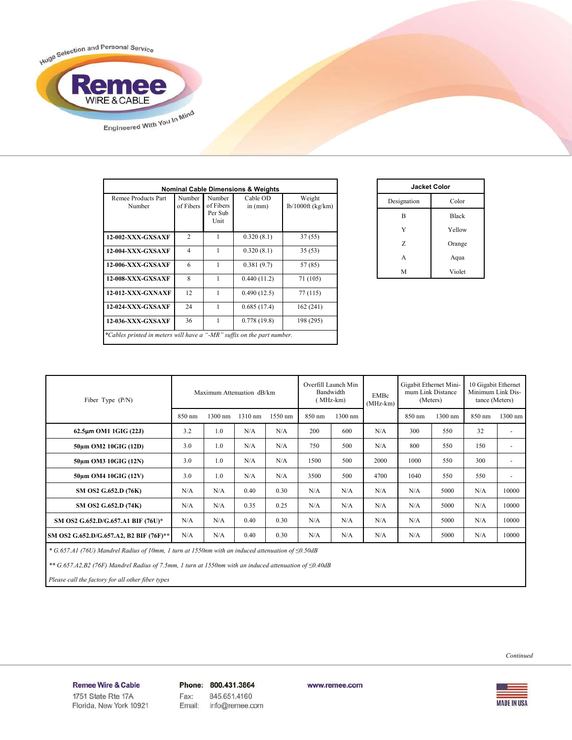

| <b>Nominal Cable Dimensions &amp; Weights</b>                          |                     |                                        |                       |                               |  |
|------------------------------------------------------------------------|---------------------|----------------------------------------|-----------------------|-------------------------------|--|
| Remee Products Part<br>Number                                          | Number<br>of Fibers | Number<br>of Fibers<br>Per Sub<br>Unit | Cable OD<br>in $(mm)$ | Weight<br>$lb/1000ft$ (kg/km) |  |
| <b>12-002-XXX-GXSAXF</b>                                               | $\overline{2}$      | 1                                      | 0.320(8.1)            | 37 (55)                       |  |
| <b>12-004-XXX-GXSAXF</b>                                               | $\overline{4}$      | 1                                      | 0.320(8.1)            | 35 (53)                       |  |
| <b>12-006-XXX-GXSAXF</b>                                               | 6                   | 1                                      | 0.381(9.7)            | 57 (85)                       |  |
| <b>12-008-XXX-GXSAXF</b>                                               | 8                   | 1                                      | 0.440(11.2)           | 71 (105)                      |  |
| <b>12-012-XXX-GXNAXF</b>                                               | 12                  | 1                                      | 0.490(12.5)           | 77 (115)                      |  |
| <b>12-024-XXX-GXSAXF</b>                                               | 24                  | $\mathbf{1}$                           | 0.685(17.4)           | 162(241)                      |  |
| <b>12-036-XXX-GXSAXF</b>                                               | 36                  | 1                                      | 0.778(19.8)           | 198 (295)                     |  |
| *Cables printed in meters will have a "-MR" suffix on the part number. |                     |                                        |                       |                               |  |

| <b>Jacket Color</b> |              |  |  |  |
|---------------------|--------------|--|--|--|
| Designation         | Color        |  |  |  |
| B                   | <b>Black</b> |  |  |  |
| Y                   | Yellow       |  |  |  |
| Z                   | Orange       |  |  |  |
| A                   | Aqua         |  |  |  |
| М                   | Violet       |  |  |  |

| Fiber Type $(P/N)$                      |        | Maximum Attenuation dB/km |         | Overfill Launch Min<br>Bandwidth<br>(MHz-km) |        | EMBc<br>$(MHz-km)$ | Gigabit Ethernet Mini-<br>mum Link Distance<br>(Meters) |        | 10 Gigabit Ethernet<br>Minimum Link Dis-<br>tance (Meters) |        |                |
|-----------------------------------------|--------|---------------------------|---------|----------------------------------------------|--------|--------------------|---------------------------------------------------------|--------|------------------------------------------------------------|--------|----------------|
|                                         | 850 nm | 1300 nm                   | 1310 nm | 1550 nm                                      | 850 nm | 1300 nm            |                                                         | 850 nm | 1300 nm                                                    | 850 nm | 1300 nm        |
| 62.5µm OM1 1GIG (22J)                   | 3.2    | 1.0                       | N/A     | N/A                                          | 200    | 600                | N/A                                                     | 300    | 550                                                        | 32     | $\overline{a}$ |
| 50um OM2 10GIG (12D)                    | 3.0    | 1.0                       | N/A     | N/A                                          | 750    | 500                | N/A                                                     | 800    | 550                                                        | 150    | ۰              |
| 50um OM3 10GIG (12N)                    | 3.0    | 1.0                       | N/A     | N/A                                          | 1500   | 500                | 2000                                                    | 1000   | 550                                                        | 300    | ٠              |
| 50um OM4 10GIG (12V)                    | 3.0    | 1 <sub>0</sub>            | N/A     | N/A                                          | 3500   | 500                | 4700                                                    | 1040   | 550                                                        | 550    | ٠              |
| SM OS2 G.652.D (76K)                    | N/A    | N/A                       | 0.40    | 0.30                                         | N/A    | N/A                | N/A                                                     | N/A    | 5000                                                       | N/A    | 10000          |
| SM OS2 G.652.D (74K)                    | N/A    | N/A                       | 0.35    | 0.25                                         | N/A    | N/A                | N/A                                                     | N/A    | 5000                                                       | N/A    | 10000          |
| SM OS2 G.652.D/G.657.A1 BIF (76U)*      | N/A    | N/A                       | 0.40    | 0.30                                         | N/A    | N/A                | N/A                                                     | N/A    | 5000                                                       | N/A    | 10000          |
| SM OS2 G.652.D/G.657.A2, B2 BIF (76F)** | N/A    | N/A                       | 0.40    | 0.30                                         | N/A    | N/A                | N/A                                                     | N/A    | 5000                                                       | N/A    | 10000          |

 *\* G.657.A1 (76U) Mandrel Radius of 10mm, 1 turn at 1550nm with an induced attenuation of ≤0.50dB*

 *\*\* G.657.A2,B2 (76F) Mandrel Radius of 7.5mm, 1 turn at 1550nm with an induced attenuation of ≤0.40dB*

 *Please call the factory for all other fiber types*



Remee Wire & Cable Issue No.: 05

Florida, New York 10921

Phone: 800.431.3864 Fax: 845.651.4160 info@remee.com Email:

www.remee.com